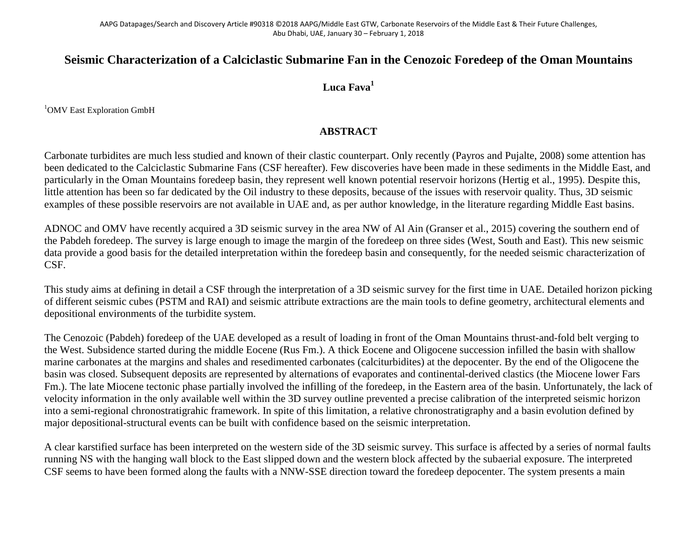## **Seismic Characterization of a Calciclastic Submarine Fan in the Cenozoic Foredeep of the Oman Mountains**

## **Luca Fava1**

<sup>1</sup>OMV East Exploration GmbH

## **ABSTRACT**

Carbonate turbidites are much less studied and known of their clastic counterpart. Only recently (Payros and Pujalte, 2008) some attention has been dedicated to the Calciclastic Submarine Fans (CSF hereafter). Few discoveries have been made in these sediments in the Middle East, and particularly in the Oman Mountains foredeep basin, they represent well known potential reservoir horizons (Hertig et al., 1995). Despite this, little attention has been so far dedicated by the Oil industry to these deposits, because of the issues with reservoir quality. Thus, 3D seismic examples of these possible reservoirs are not available in UAE and, as per author knowledge, in the literature regarding Middle East basins.

ADNOC and OMV have recently acquired a 3D seismic survey in the area NW of Al Ain (Granser et al., 2015) covering the southern end of the Pabdeh foredeep. The survey is large enough to image the margin of the foredeep on three sides (West, South and East). This new seismic data provide a good basis for the detailed interpretation within the foredeep basin and consequently, for the needed seismic characterization of CSF.

This study aims at defining in detail a CSF through the interpretation of a 3D seismic survey for the first time in UAE. Detailed horizon picking of different seismic cubes (PSTM and RAI) and seismic attribute extractions are the main tools to define geometry, architectural elements and depositional environments of the turbidite system.

The Cenozoic (Pabdeh) foredeep of the UAE developed as a result of loading in front of the Oman Mountains thrust-and-fold belt verging to the West. Subsidence started during the middle Eocene (Rus Fm.). A thick Eocene and Oligocene succession infilled the basin with shallow marine carbonates at the margins and shales and resedimented carbonates (calciturbidites) at the depocenter. By the end of the Oligocene the basin was closed. Subsequent deposits are represented by alternations of evaporates and continental-derived clastics (the Miocene lower Fars Fm.). The late Miocene tectonic phase partially involved the infilling of the foredeep, in the Eastern area of the basin. Unfortunately, the lack of velocity information in the only available well within the 3D survey outline prevented a precise calibration of the interpreted seismic horizon into a semi-regional chronostratigrahic framework. In spite of this limitation, a relative chronostratigraphy and a basin evolution defined by major depositional-structural events can be built with confidence based on the seismic interpretation.

A clear karstified surface has been interpreted on the western side of the 3D seismic survey. This surface is affected by a series of normal faults running NS with the hanging wall block to the East slipped down and the western block affected by the subaerial exposure. The interpreted CSF seems to have been formed along the faults with a NNW-SSE direction toward the foredeep depocenter. The system presents a main